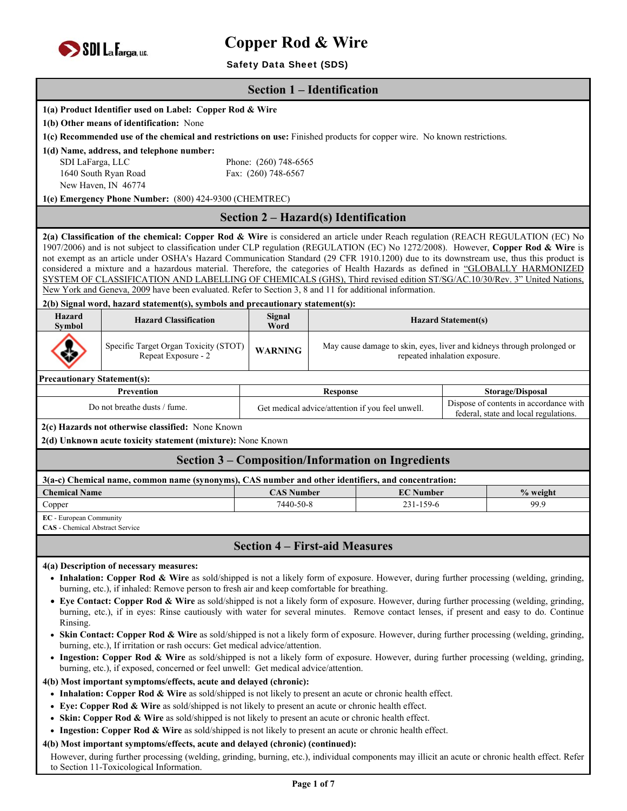

# Safety Data Sheet (SDS)

| <b>Section 1 – Identification</b>                                                                                                                                                                                                       |                                                                                                                                                                                                                                                                              |                                                                                                                                     |  |                                                           |                               |                                                                        |  |
|-----------------------------------------------------------------------------------------------------------------------------------------------------------------------------------------------------------------------------------------|------------------------------------------------------------------------------------------------------------------------------------------------------------------------------------------------------------------------------------------------------------------------------|-------------------------------------------------------------------------------------------------------------------------------------|--|-----------------------------------------------------------|-------------------------------|------------------------------------------------------------------------|--|
|                                                                                                                                                                                                                                         |                                                                                                                                                                                                                                                                              |                                                                                                                                     |  |                                                           |                               |                                                                        |  |
|                                                                                                                                                                                                                                         | 1(a) Product Identifier used on Label: Copper Rod & Wire                                                                                                                                                                                                                     |                                                                                                                                     |  |                                                           |                               |                                                                        |  |
|                                                                                                                                                                                                                                         | 1(b) Other means of identification: None                                                                                                                                                                                                                                     |                                                                                                                                     |  |                                                           |                               |                                                                        |  |
|                                                                                                                                                                                                                                         | 1(c) Recommended use of the chemical and restrictions on use: Finished products for copper wire. No known restrictions.<br>1(d) Name, address, and telephone number:                                                                                                         |                                                                                                                                     |  |                                                           |                               |                                                                        |  |
| SDI LaFarga, LLC                                                                                                                                                                                                                        |                                                                                                                                                                                                                                                                              | Phone: (260) 748-6565                                                                                                               |  |                                                           |                               |                                                                        |  |
|                                                                                                                                                                                                                                         | 1640 South Ryan Road                                                                                                                                                                                                                                                         | Fax: (260) 748-6567                                                                                                                 |  |                                                           |                               |                                                                        |  |
|                                                                                                                                                                                                                                         | New Haven, IN 46774                                                                                                                                                                                                                                                          |                                                                                                                                     |  |                                                           |                               |                                                                        |  |
|                                                                                                                                                                                                                                         | 1(e) Emergency Phone Number: (800) 424-9300 (CHEMTREC)                                                                                                                                                                                                                       |                                                                                                                                     |  |                                                           |                               |                                                                        |  |
|                                                                                                                                                                                                                                         |                                                                                                                                                                                                                                                                              | Section 2 – Hazard(s) Identification                                                                                                |  |                                                           |                               |                                                                        |  |
|                                                                                                                                                                                                                                         | 2(a) Classification of the chemical: Copper Rod & Wire is considered an article under Reach regulation (REACH REGULATION (EC) No                                                                                                                                             |                                                                                                                                     |  |                                                           |                               |                                                                        |  |
|                                                                                                                                                                                                                                         | 1907/2006) and is not subject to classification under CLP regulation (REGULATION (EC) No 1272/2008). However, Copper Rod & Wire is<br>not exempt as an article under OSHA's Hazard Communication Standard (29 CFR 1910.1200) due to its downstream use, thus this product is |                                                                                                                                     |  |                                                           |                               |                                                                        |  |
|                                                                                                                                                                                                                                         | considered a mixture and a hazardous material. Therefore, the categories of Health Hazards as defined in "GLOBALLY HARMONIZED                                                                                                                                                |                                                                                                                                     |  |                                                           |                               |                                                                        |  |
|                                                                                                                                                                                                                                         | SYSTEM OF CLASSIFICATION AND LABELLING OF CHEMICALS (GHS), Third revised edition ST/SG/AC.10/30/Rev. 3" United Nations,                                                                                                                                                      |                                                                                                                                     |  |                                                           |                               |                                                                        |  |
|                                                                                                                                                                                                                                         | New York and Geneva, 2009 have been evaluated. Refer to Section 3, 8 and 11 for additional information.<br>2(b) Signal word, hazard statement(s), symbols and precautionary statement(s):                                                                                    |                                                                                                                                     |  |                                                           |                               |                                                                        |  |
| Hazard                                                                                                                                                                                                                                  |                                                                                                                                                                                                                                                                              | Signal                                                                                                                              |  |                                                           |                               |                                                                        |  |
| <b>Symbol</b>                                                                                                                                                                                                                           | <b>Hazard Classification</b>                                                                                                                                                                                                                                                 | Word                                                                                                                                |  |                                                           | <b>Hazard Statement(s)</b>    |                                                                        |  |
|                                                                                                                                                                                                                                         | Specific Target Organ Toxicity (STOT)                                                                                                                                                                                                                                        | <b>WARNING</b>                                                                                                                      |  |                                                           |                               | May cause damage to skin, eyes, liver and kidneys through prolonged or |  |
|                                                                                                                                                                                                                                         | Repeat Exposure - 2                                                                                                                                                                                                                                                          |                                                                                                                                     |  |                                                           | repeated inhalation exposure. |                                                                        |  |
| <b>Precautionary Statement(s):</b>                                                                                                                                                                                                      |                                                                                                                                                                                                                                                                              |                                                                                                                                     |  |                                                           |                               |                                                                        |  |
|                                                                                                                                                                                                                                         | Prevention                                                                                                                                                                                                                                                                   | <b>Response</b>                                                                                                                     |  |                                                           | Storage/Disposal              |                                                                        |  |
|                                                                                                                                                                                                                                         | Do not breathe dusts / fume.                                                                                                                                                                                                                                                 | Dispose of contents in accordance with<br>Get medical advice/attention if you feel unwell.<br>federal, state and local regulations. |  |                                                           |                               |                                                                        |  |
|                                                                                                                                                                                                                                         | 2(c) Hazards not otherwise classified: None Known                                                                                                                                                                                                                            |                                                                                                                                     |  |                                                           |                               |                                                                        |  |
|                                                                                                                                                                                                                                         | 2(d) Unknown acute toxicity statement (mixture): None Known                                                                                                                                                                                                                  |                                                                                                                                     |  |                                                           |                               |                                                                        |  |
|                                                                                                                                                                                                                                         |                                                                                                                                                                                                                                                                              |                                                                                                                                     |  | <b>Section 3 – Composition/Information on Ingredients</b> |                               |                                                                        |  |
|                                                                                                                                                                                                                                         | 3(a-c) Chemical name, common name (synonyms), CAS number and other identifiers, and concentration:                                                                                                                                                                           |                                                                                                                                     |  |                                                           |                               |                                                                        |  |
| <b>Chemical Name</b>                                                                                                                                                                                                                    |                                                                                                                                                                                                                                                                              | <b>CAS Number</b>                                                                                                                   |  | <b>EC Number</b>                                          |                               | % weight                                                               |  |
| Copper                                                                                                                                                                                                                                  |                                                                                                                                                                                                                                                                              | 7440-50-8                                                                                                                           |  | 231-159-6                                                 |                               | 99.9                                                                   |  |
|                                                                                                                                                                                                                                         | <b>EC</b> - European Community                                                                                                                                                                                                                                               |                                                                                                                                     |  |                                                           |                               |                                                                        |  |
| <b>CAS</b> - Chemical Abstract Service                                                                                                                                                                                                  |                                                                                                                                                                                                                                                                              |                                                                                                                                     |  |                                                           |                               |                                                                        |  |
| <b>Section 4 – First-aid Measures</b>                                                                                                                                                                                                   |                                                                                                                                                                                                                                                                              |                                                                                                                                     |  |                                                           |                               |                                                                        |  |
| 4(a) Description of necessary measures:                                                                                                                                                                                                 |                                                                                                                                                                                                                                                                              |                                                                                                                                     |  |                                                           |                               |                                                                        |  |
| • Inhalation: Copper Rod & Wire as sold/shipped is not a likely form of exposure. However, during further processing (welding, grinding,                                                                                                |                                                                                                                                                                                                                                                                              |                                                                                                                                     |  |                                                           |                               |                                                                        |  |
| burning, etc.), if inhaled: Remove person to fresh air and keep comfortable for breathing.<br>• Eye Contact: Copper Rod & Wire as sold/shipped is not a likely form of exposure. However, during further processing (welding, grinding, |                                                                                                                                                                                                                                                                              |                                                                                                                                     |  |                                                           |                               |                                                                        |  |
| burning, etc.), if in eyes: Rinse cautiously with water for several minutes. Remove contact lenses, if present and easy to do. Continue                                                                                                 |                                                                                                                                                                                                                                                                              |                                                                                                                                     |  |                                                           |                               |                                                                        |  |
| Rinsing.<br>• Skin Contact: Copper Rod & Wire as sold/shipped is not a likely form of exposure. However, during further processing (welding, grinding,                                                                                  |                                                                                                                                                                                                                                                                              |                                                                                                                                     |  |                                                           |                               |                                                                        |  |
| burning, etc.), If irritation or rash occurs: Get medical advice/attention.                                                                                                                                                             |                                                                                                                                                                                                                                                                              |                                                                                                                                     |  |                                                           |                               |                                                                        |  |
| • Ingestion: Copper Rod & Wire as sold/shipped is not a likely form of exposure. However, during further processing (welding, grinding,<br>burning, etc.), if exposed, concerned or feel unwell: Get medical advice/attention.          |                                                                                                                                                                                                                                                                              |                                                                                                                                     |  |                                                           |                               |                                                                        |  |
| 4(b) Most important symptoms/effects, acute and delayed (chronic):                                                                                                                                                                      |                                                                                                                                                                                                                                                                              |                                                                                                                                     |  |                                                           |                               |                                                                        |  |
| • Inhalation: Copper Rod & Wire as sold/shipped is not likely to present an acute or chronic health effect.                                                                                                                             |                                                                                                                                                                                                                                                                              |                                                                                                                                     |  |                                                           |                               |                                                                        |  |
|                                                                                                                                                                                                                                         | • Eye: Copper Rod & Wire as sold/shipped is not likely to present an acute or chronic health effect.                                                                                                                                                                         |                                                                                                                                     |  |                                                           |                               |                                                                        |  |
| • Skin: Copper Rod & Wire as sold/shipped is not likely to present an acute or chronic health effect.                                                                                                                                   |                                                                                                                                                                                                                                                                              |                                                                                                                                     |  |                                                           |                               |                                                                        |  |
| • Ingestion: Copper Rod & Wire as sold/shipped is not likely to present an acute or chronic health effect.                                                                                                                              |                                                                                                                                                                                                                                                                              |                                                                                                                                     |  |                                                           |                               |                                                                        |  |

#### **4(b) Most important symptoms/effects, acute and delayed (chronic) (continued):**

However, during further processing (welding, grinding, burning, etc.), individual components may illicit an acute or chronic health effect. Refer to Section 11-Toxicological Information.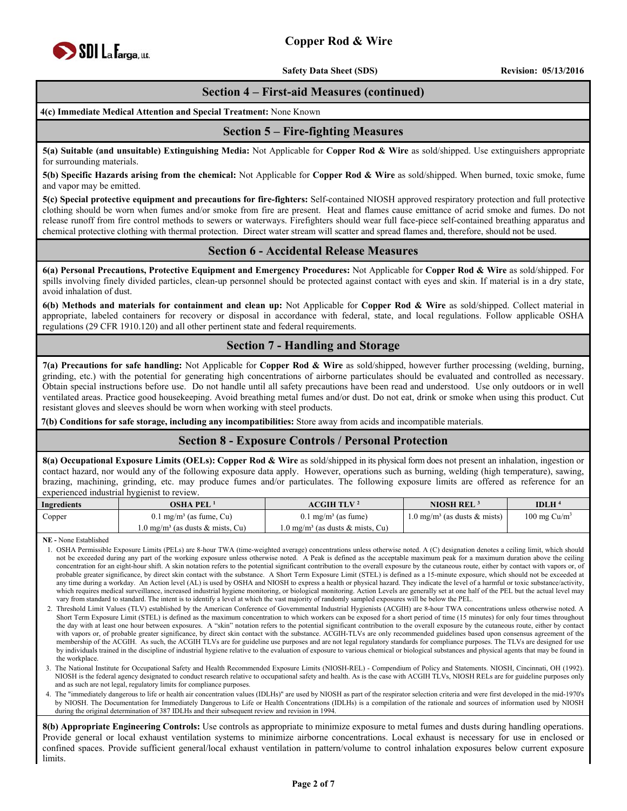

**Safety Data Sheet (SDS)** Revision: 05/13/2016

### **Section 4 – First-aid Measures (continued)**

**4(c) Immediate Medical Attention and Special Treatment:** None Known

#### **Section 5 – Fire-fighting Measures**

**5(a) Suitable (and unsuitable) Extinguishing Media:** Not Applicable for **Copper Rod & Wire** as sold/shipped. Use extinguishers appropriate for surrounding materials.

**5(b) Specific Hazards arising from the chemical:** Not Applicable for **Copper Rod & Wire** as sold/shipped. When burned, toxic smoke, fume and vapor may be emitted.

**5(c) Special protective equipment and precautions for fire-fighters:** Self-contained NIOSH approved respiratory protection and full protective clothing should be worn when fumes and/or smoke from fire are present. Heat and flames cause emittance of acrid smoke and fumes. Do not release runoff from fire control methods to sewers or waterways. Firefighters should wear full face-piece self-contained breathing apparatus and chemical protective clothing with thermal protection. Direct water stream will scatter and spread flames and, therefore, should not be used.

#### **Section 6 - Accidental Release Measures**

**6(a) Personal Precautions, Protective Equipment and Emergency Procedures:** Not Applicable for **Copper Rod & Wire** as sold/shipped. For spills involving finely divided particles, clean-up personnel should be protected against contact with eyes and skin. If material is in a dry state, avoid inhalation of dust.

**6(b) Methods and materials for containment and clean up:** Not Applicable for **Copper Rod & Wire** as sold/shipped. Collect material in appropriate, labeled containers for recovery or disposal in accordance with federal, state, and local regulations. Follow applicable OSHA regulations (29 CFR 1910.120) and all other pertinent state and federal requirements.

### **Section 7 - Handling and Storage**

**7(a) Precautions for safe handling:** Not Applicable for **Copper Rod & Wire** as sold/shipped, however further processing (welding, burning, grinding, etc.) with the potential for generating high concentrations of airborne particulates should be evaluated and controlled as necessary. Obtain special instructions before use. Do not handle until all safety precautions have been read and understood. Use only outdoors or in well ventilated areas. Practice good housekeeping. Avoid breathing metal fumes and/or dust. Do not eat, drink or smoke when using this product. Cut resistant gloves and sleeves should be worn when working with steel products.

**7(b) Conditions for safe storage, including any incompatibilities:** Store away from acids and incompatible materials.

#### **Section 8 - Exposure Controls / Personal Protection**

**8(a) Occupational Exposure Limits (OELs): Copper Rod & Wire** as sold/shipped in its physical form does not present an inhalation, ingestion or contact hazard, nor would any of the following exposure data apply. However, operations such as burning, welding (high temperature), sawing, brazing, machining, grinding, etc. may produce fumes and/or particulates. The following exposure limits are offered as reference for an experienced industrial hygienist to review.

| Ingredients | <b>OSHA PEL</b>                             | ACGIH TLV <sup>2</sup>                      | <b>NIOSH REL</b>                        | IDLH $4$                |
|-------------|---------------------------------------------|---------------------------------------------|-----------------------------------------|-------------------------|
| Copper      | $0.1 \text{ mg/m}^3$ (as fume, Cu)          | $0.1 \text{ mg/m}^3$ (as fume)              | $1.0 \text{ mg/m}^3$ (as dusts & mists) | $100 \text{ mg Cu/m}^3$ |
|             | $1.0 \text{ mg/m}^3$ (as dusts & mists, Cu) | $1.0 \text{ mg/m}^3$ (as dusts & mists, Cu) |                                         |                         |

**NE -** None Established

- 1. OSHA Permissible Exposure Limits (PELs) are 8-hour TWA (time-weighted average) concentrations unless otherwise noted. A (C) designation denotes a ceiling limit, which should not be exceeded during any part of the working exposure unless otherwise noted. A Peak is defined as the acceptable maximum peak for a maximum duration above the ceiling concentration for an eight-hour shift. A skin notation refers to the potential significant contribution to the overall exposure by the cutaneous route, either by contact with vapors or, of probable greater significance, by direct skin contact with the substance. A Short Term Exposure Limit (STEL) is defined as a 15-minute exposure, which should not be exceeded at any time during a workday. An Action level (AL) is used by OSHA and NIOSH to express a health or physical hazard. They indicate the level of a harmful or toxic substance/activity, which requires medical surveillance, increased industrial hygiene monitoring, or biological monitoring. Action Levels are generally set at one half of the PEL but the actual level may vary from standard to standard. The intent is to identify a level at which the vast majority of randomly sampled exposures will be below the PEL.
- 2. Threshold Limit Values (TLV) established by the American Conference of Governmental Industrial Hygienists (ACGIH) are 8-hour TWA concentrations unless otherwise noted. A Short Term Exposure Limit (STEL) is defined as the maximum concentration to which workers can be exposed for a short period of time (15 minutes) for only four times throughout the day with at least one hour between exposures. A "skin" notation refers to the potential significant contribution to the overall exposure by the cutaneous route, either by contact with vapors or, of probable greater significance, by direct skin contact with the substance. ACGIH-TLVs are only recommended guidelines based upon consensus agreement of the membership of the ACGIH. As such, the ACGIH TLVs are for guideline use purposes and are not legal regulatory standards for compliance purposes. The TLVs are designed for use by individuals trained in the discipline of industrial hygiene relative to the evaluation of exposure to various chemical or biological substances and physical agents that may be found in the workplace.
- 3. The National Institute for Occupational Safety and Health Recommended Exposure Limits (NIOSH-REL) Compendium of Policy and Statements. NIOSH, Cincinnati, OH (1992). NIOSH is the federal agency designated to conduct research relative to occupational safety and health. As is the case with ACGIH TLVs, NIOSH RELs are for guideline purposes only and as such are not legal, regulatory limits for compliance purposes.
- 4. The "immediately dangerous to life or health air concentration values (IDLHs)" are used by NIOSH as part of the respirator selection criteria and were first developed in the mid-1970's by NIOSH. The Documentation for Immediately Dangerous to Life or Health Concentrations (IDLHs) is a compilation of the rationale and sources of information used by NIOSH during the original determination of 387 IDLHs and their subsequent review and revision in 1994.

**8(b) Appropriate Engineering Controls:** Use controls as appropriate to minimize exposure to metal fumes and dusts during handling operations. Provide general or local exhaust ventilation systems to minimize airborne concentrations. Local exhaust is necessary for use in enclosed or confined spaces. Provide sufficient general/local exhaust ventilation in pattern/volume to control inhalation exposures below current exposure limits.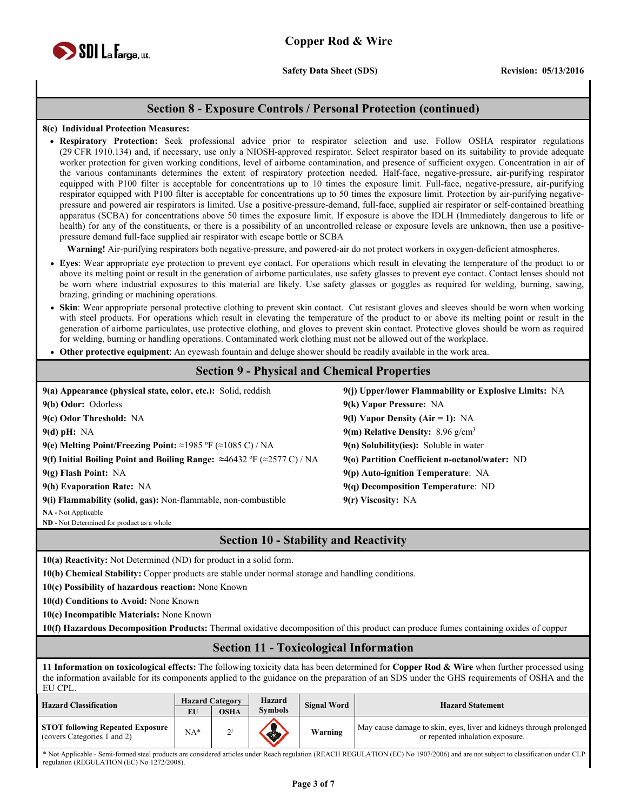

**Safety Data Sheet (SDS)** Revision: 05/13/2016

#### **Section 8 - Exposure Controls / Personal Protection (continued)**

#### **8(c) Individual Protection Measures:**

 **Respiratory Protection:** Seek professional advice prior to respirator selection and use. Follow OSHA respirator regulations (29 CFR 1910.134) and, if necessary, use only a NIOSH-approved respirator. Select respirator based on its suitability to provide adequate worker protection for given working conditions, level of airborne contamination, and presence of sufficient oxygen. Concentration in air of the various contaminants determines the extent of respiratory protection needed. Half-face, negative-pressure, air-purifying respirator equipped with P100 filter is acceptable for concentrations up to 10 times the exposure limit. Full-face, negative-pressure, air-purifying respirator equipped with P100 filter is acceptable for concentrations up to 50 times the exposure limit. Protection by air-purifying negativepressure and powered air respirators is limited. Use a positive-pressure-demand, full-face, supplied air respirator or self-contained breathing apparatus (SCBA) for concentrations above 50 times the exposure limit. If exposure is above the IDLH (Immediately dangerous to life or health) for any of the constituents, or there is a possibility of an uncontrolled release or exposure levels are unknown, then use a positivepressure demand full-face supplied air respirator with escape bottle or SCBA

**Warning!** Air-purifying respirators both negative-pressure, and powered-air do not protect workers in oxygen-deficient atmospheres.

- **Eyes**: Wear appropriate eye protection to prevent eye contact. For operations which result in elevating the temperature of the product to or above its melting point or result in the generation of airborne particulates, use safety glasses to prevent eye contact. Contact lenses should not be worn where industrial exposures to this material are likely. Use safety glasses or goggles as required for welding, burning, sawing, brazing, grinding or machining operations.
- **Skin**: Wear appropriate personal protective clothing to prevent skin contact. Cut resistant gloves and sleeves should be worn when working with steel products. For operations which result in elevating the temperature of the product to or above its melting point or result in the generation of airborne particulates, use protective clothing, and gloves to prevent skin contact. Protective gloves should be worn as required for welding, burning or handling operations. Contaminated work clothing must not be allowed out of the workplace.
- **Other protective equipment**: An eyewash fountain and deluge shower should be readily available in the work area.

### **Section 9 - Physical and Chemical Properties**

| 9(j) Upper/lower Flammability or Explosive Limits: NA |
|-------------------------------------------------------|
| 9(k) Vapor Pressure: NA                               |
| 9(I) Vapor Density (Air = 1): NA                      |
| 9(m) Relative Density: $8.96 \text{ g/cm}^3$          |
| $9(n)$ Solubility(ies): Soluble in water              |
| 9(0) Partition Coefficient n-octanol/water: ND        |
| $9(p)$ Auto-ignition Temperature: NA                  |
| $9(q)$ Decomposition Temperature: ND                  |
| 9(r) Viscosity: NA                                    |
|                                                       |

**NA -** Not Applicable

**ND -** Not Determined for product as a whole

#### **Section 10 - Stability and Reactivity**

**10(a) Reactivity:** Not Determined (ND) for product in a solid form.

**10(b) Chemical Stability:** Copper products are stable under normal storage and handling conditions.

**10(c) Possibility of hazardous reaction:** None Known

**10(d) Conditions to Avoid:** None Known

**10(e) Incompatible Materials:** None Known

**10(f) Hazardous Decomposition Products:** Thermal oxidative decomposition of this product can produce fumes containing oxides of copper

#### **Section 11 - Toxicological Information**

**11 Information on toxicological effects:** The following toxicity data has been determined for **Copper Rod & Wire** when further processed using the information available for its components applied to the guidance on the preparation of an SDS under the GHS requirements of OSHA and the EU CPL.

| <b>Hazard Classification</b>                                           | EU    | <b>Hazard Category</b><br><b>OSHA</b> | Hazard<br><b>Symbols</b> | <b>Signal Word</b> | <b>Hazard Statement</b>                                                                                 |
|------------------------------------------------------------------------|-------|---------------------------------------|--------------------------|--------------------|---------------------------------------------------------------------------------------------------------|
| <b>STOT following Repeated Exposure</b><br>(covers Categories 1 and 2) | $NA*$ | $\mathcal{D}$                         |                          | Warning            | May cause damage to skin, eyes, liver and kidneys through prolonged<br>or repeated inhalation exposure. |

\* Not Applicable - Semi-formed steel products are considered articles under Reach regulation (REACH REGULATION (EC) No 1907/2006) and are not subject to classification under CLP regulation (REGULATION (EC) No 1272/2008).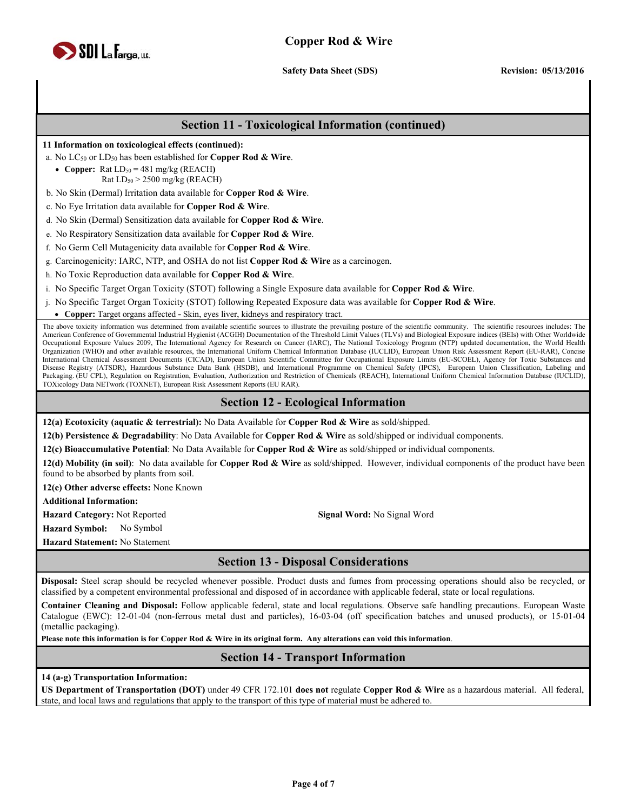

**Safety Data Sheet (SDS)** Revision: 05/13/2016

#### **Section 11 - Toxicological Information (continued)**

**11 Information on toxicological effects (continued):**

a. No LC50 or LD50 has been established for **Copper Rod & Wire**.

• Copper:  $\text{Rat LD}_{50} = 481 \text{ mg/kg}$  (REACH) Rat LD50 > 2500 mg/kg (REACH)

b. No Skin (Dermal) Irritation data available for **Copper Rod & Wire**.

c. No Eye Irritation data available for **Copper Rod & Wire**.

d. No Skin (Dermal) Sensitization data available for **Copper Rod & Wire**.

e. No Respiratory Sensitization data available for **Copper Rod & Wire**.

f. No Germ Cell Mutagenicity data available for **Copper Rod & Wire**.

g. Carcinogenicity: IARC, NTP, and OSHA do not list **Copper Rod & Wire** as a carcinogen.

h. No Toxic Reproduction data available for **Copper Rod & Wire**.

i. No Specific Target Organ Toxicity (STOT) following a Single Exposure data available for **Copper Rod & Wire**.

j. No Specific Target Organ Toxicity (STOT) following Repeated Exposure data was available for **Copper Rod & Wire**.

**Copper:** Target organs affected **-** Skin, eyes liver, kidneys and respiratory tract.

The above toxicity information was determined from available scientific sources to illustrate the prevailing posture of the scientific community. The scientific resources includes: The American Conference of Governmental Industrial Hygienist (ACGIH) Documentation of the Threshold Limit Values (TLVs) and Biological Exposure indices (BEIs) with Other Worldwide Occupational Exposure Values 2009, The International Agency for Research on Cancer (IARC), The National Toxicology Program (NTP) updated documentation, the World Health Organization (WHO) and other available resources, the International Uniform Chemical Information Database (IUCLID), European Union Risk Assessment Report (EU-RAR), Concise International Chemical Assessment Documents (CICAD), European Union Scientific Committee for Occupational Exposure Limits (EU-SCOEL), Agency for Toxic Substances and Disease Registry (ATSDR), Hazardous Substance Data Bank (HSDB), and International Programme on Chemical Safety (IPCS), European Union Classification, Labeling and Packaging. (EU CPL), Regulation on Registration, Evaluation, Authorization and Restriction of Chemicals (REACH), International Uniform Chemical Information Database (IUCLID), TOXicology Data NETwork (TOXNET), European Risk Assessment Reports (EU RAR).

#### **Section 12 - Ecological Information**

**12(a) Ecotoxicity (aquatic & terrestrial):** No Data Available for **Copper Rod & Wire** as sold/shipped.

**12(b) Persistence & Degradability**: No Data Available for **Copper Rod & Wire** as sold/shipped or individual components.

**12(c) Bioaccumulative Potential**: No Data Available for **Copper Rod & Wire** as sold/shipped or individual components.

**12(d) Mobility (in soil)**: No data available for **Copper Rod & Wire** as sold/shipped. However, individual components of the product have been found to be absorbed by plants from soil.

**12(e) Other adverse effects:** None Known

**Additional Information:** 

**Hazard Category:** Not Reported **Signal Word:** No Signal Word **Hazard Symbol:** No Symbol

**Hazard Statement:** No Statement

# **Section 13 - Disposal Considerations**

**Disposal:** Steel scrap should be recycled whenever possible. Product dusts and fumes from processing operations should also be recycled, or classified by a competent environmental professional and disposed of in accordance with applicable federal, state or local regulations.

**Container Cleaning and Disposal:** Follow applicable federal, state and local regulations. Observe safe handling precautions. European Waste Catalogue (EWC): 12-01-04 (non-ferrous metal dust and particles), 16-03-04 (off specification batches and unused products), or 15-01-04 (metallic packaging).

**Please note this information is for Copper Rod & Wire in its original form. Any alterations can void this information**.

#### **Section 14 - Transport Information**

**14 (a-g) Transportation Information:** 

**US Department of Transportation (DOT)** under 49 CFR 172.101 **does not** regulate **Copper Rod & Wire** as a hazardous material. All federal, state, and local laws and regulations that apply to the transport of this type of material must be adhered to.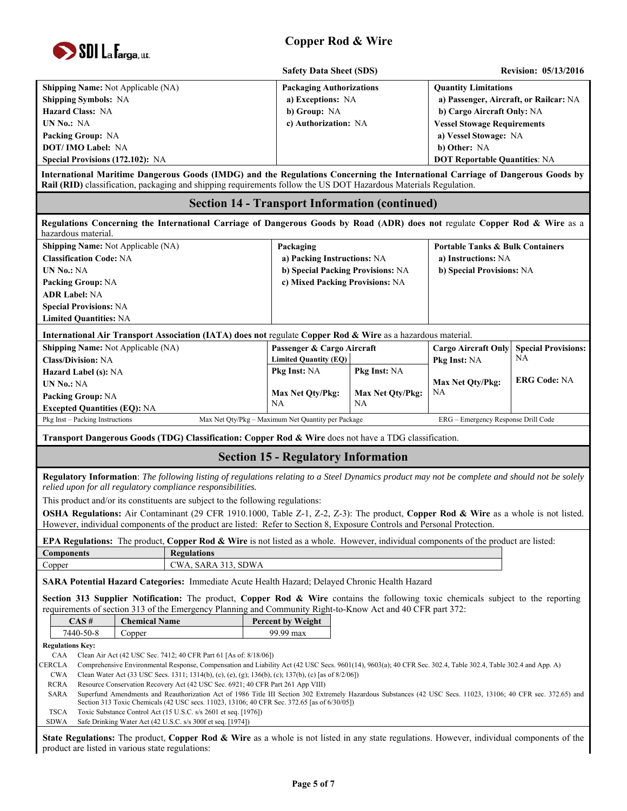

|                                                                                                                                                                                                                                                                      | <b>Safety Data Sheet (SDS)</b>                             |                   |                                             | <b>Revision: 05/13/2016</b>            |  |
|----------------------------------------------------------------------------------------------------------------------------------------------------------------------------------------------------------------------------------------------------------------------|------------------------------------------------------------|-------------------|---------------------------------------------|----------------------------------------|--|
| Shipping Name: Not Applicable (NA)                                                                                                                                                                                                                                   | <b>Packaging Authorizations</b>                            |                   | <b>Quantity Limitations</b>                 |                                        |  |
| <b>Shipping Symbols: NA</b>                                                                                                                                                                                                                                          |                                                            | a) Exceptions: NA |                                             | a) Passenger, Aircraft, or Railcar: NA |  |
| Hazard Class: NA                                                                                                                                                                                                                                                     | b) Group: NA                                               |                   | b) Cargo Aircraft Only: NA                  |                                        |  |
| <b>UN No.: NA</b>                                                                                                                                                                                                                                                    | c) Authorization: NA                                       |                   | <b>Vessel Stowage Requirements</b>          |                                        |  |
| Packing Group: NA                                                                                                                                                                                                                                                    |                                                            |                   | a) Vessel Stowage: NA                       |                                        |  |
| <b>DOT/IMO Label: NA</b>                                                                                                                                                                                                                                             |                                                            |                   | b) Other: NA                                |                                        |  |
| Special Provisions (172.102): NA                                                                                                                                                                                                                                     |                                                            |                   | <b>DOT Reportable Quantities: NA</b>        |                                        |  |
| International Maritime Dangerous Goods (IMDG) and the Regulations Concerning the International Carriage of Dangerous Goods by<br>Rail (RID) classification, packaging and shipping requirements follow the US DOT Hazardous Materials Regulation.                    |                                                            |                   |                                             |                                        |  |
|                                                                                                                                                                                                                                                                      | <b>Section 14 - Transport Information (continued)</b>      |                   |                                             |                                        |  |
| Regulations Concerning the International Carriage of Dangerous Goods by Road (ADR) does not regulate Copper Rod & Wire as a<br>hazardous material.                                                                                                                   |                                                            |                   |                                             |                                        |  |
| Shipping Name: Not Applicable (NA)                                                                                                                                                                                                                                   | Packaging                                                  |                   | <b>Portable Tanks &amp; Bulk Containers</b> |                                        |  |
| <b>Classification Code: NA</b>                                                                                                                                                                                                                                       | a) Packing Instructions: NA                                |                   | a) Instructions: NA                         |                                        |  |
| UN No.: NA                                                                                                                                                                                                                                                           | b) Special Packing Provisions: NA                          |                   | b) Special Provisions: NA                   |                                        |  |
| <b>Packing Group: NA</b>                                                                                                                                                                                                                                             | c) Mixed Packing Provisions: NA                            |                   |                                             |                                        |  |
| <b>ADR Label: NA</b>                                                                                                                                                                                                                                                 |                                                            |                   |                                             |                                        |  |
| <b>Special Provisions: NA</b>                                                                                                                                                                                                                                        |                                                            |                   |                                             |                                        |  |
| <b>Limited Quantities: NA</b>                                                                                                                                                                                                                                        |                                                            |                   |                                             |                                        |  |
| International Air Transport Association (IATA) does not regulate Copper Rod & Wire as a hazardous material.                                                                                                                                                          |                                                            |                   |                                             |                                        |  |
| Shipping Name: Not Applicable (NA)<br><b>Class/Division: NA</b>                                                                                                                                                                                                      | Passenger & Cargo Aircraft<br><b>Limited Quantity (EQ)</b> |                   | <b>Cargo Aircraft Only</b><br>Pkg Inst: NA  | <b>Special Provisions:</b><br>NA       |  |
| Hazard Label (s): NA                                                                                                                                                                                                                                                 | Pkg Inst: NA                                               | Pkg Inst: NA      |                                             |                                        |  |
| UN No.: NA                                                                                                                                                                                                                                                           |                                                            |                   | Max Net Qty/Pkg:                            | <b>ERG Code: NA</b>                    |  |
| Packing Group: NA                                                                                                                                                                                                                                                    | Max Net Qty/Pkg:                                           | Max Net Qty/Pkg:  | NA                                          |                                        |  |
| <b>Excepted Quantities (EQ): NA</b>                                                                                                                                                                                                                                  | NA                                                         | NA                |                                             |                                        |  |
| Pkg Inst - Packing Instructions                                                                                                                                                                                                                                      | Max Net Qty/Pkg - Maximum Net Quantity per Package         |                   | ERG - Emergency Response Drill Code         |                                        |  |
| Transport Dangerous Goods (TDG) Classification: Copper Rod & Wire does not have a TDG classification.                                                                                                                                                                |                                                            |                   |                                             |                                        |  |
|                                                                                                                                                                                                                                                                      | <b>Section 15 - Regulatory Information</b>                 |                   |                                             |                                        |  |
| Regulatory Information: The following listing of regulations relating to a Steel Dynamics product may not be complete and should not be solely<br>relied upon for all regulatory compliance responsibilities.                                                        |                                                            |                   |                                             |                                        |  |
| This product and/or its constituents are subject to the following regulations:                                                                                                                                                                                       |                                                            |                   |                                             |                                        |  |
| OSHA Regulations: Air Contaminant (29 CFR 1910.1000, Table Z-1, Z-2, Z-3): The product, Copper Rod & Wire as a whole is not listed.                                                                                                                                  |                                                            |                   |                                             |                                        |  |
| However, individual components of the product are listed: Refer to Section 8, Exposure Controls and Personal Protection.                                                                                                                                             |                                                            |                   |                                             |                                        |  |
| <b>EPA Regulations:</b> The product, Copper Rod & Wire is not listed as a whole. However, individual components of the product are listed:                                                                                                                           |                                                            |                   |                                             |                                        |  |
| <b>Regulations</b><br><b>Components</b>                                                                                                                                                                                                                              |                                                            |                   |                                             |                                        |  |
| CWA, SARA 313, SDWA<br>Copper                                                                                                                                                                                                                                        |                                                            |                   |                                             |                                        |  |
| SARA Potential Hazard Categories: Immediate Acute Health Hazard; Delayed Chronic Health Hazard                                                                                                                                                                       |                                                            |                   |                                             |                                        |  |
| Section 313 Supplier Notification: The product, Copper Rod & Wire contains the following toxic chemicals subject to the reporting                                                                                                                                    |                                                            |                   |                                             |                                        |  |
| requirements of section 313 of the Emergency Planning and Community Right-to-Know Act and 40 CFR part 372:                                                                                                                                                           |                                                            |                   |                                             |                                        |  |
| $CAS \#$<br><b>Chemical Name</b>                                                                                                                                                                                                                                     | <b>Percent by Weight</b>                                   |                   |                                             |                                        |  |
| 7440-50-8<br>Copper                                                                                                                                                                                                                                                  | 99.99 max                                                  |                   |                                             |                                        |  |
| <b>Regulations Key:</b>                                                                                                                                                                                                                                              |                                                            |                   |                                             |                                        |  |
| Clean Air Act (42 USC Sec. 7412; 40 CFR Part 61 [As of: 8/18/06])<br>CAA<br>Comprehensive Environmental Response, Compensation and Liability Act (42 USC Secs. 9601(14), 9603(a); 40 CFR Sec. 302.4, Table 302.4, Table 302.4 and App. A)                            |                                                            |                   |                                             |                                        |  |
|                                                                                                                                                                                                                                                                      |                                                            |                   |                                             |                                        |  |
| CERCLA<br><b>CWA</b><br>Clean Water Act (33 USC Secs. 1311; 1314(b), (c), (e), (g); 136(b), (c); 137(b), (c) [as of 8/2/06])                                                                                                                                         |                                                            |                   |                                             |                                        |  |
| RCRA<br>Resource Conservation Recovery Act (42 USC Sec. 6921; 40 CFR Part 261 App VIII)                                                                                                                                                                              |                                                            |                   |                                             |                                        |  |
| Superfund Amendments and Reauthorization Act of 1986 Title III Section 302 Extremely Hazardous Substances (42 USC Secs. 11023, 13106; 40 CFR sec. 372.65) and<br>SARA<br>Section 313 Toxic Chemicals (42 USC secs. 11023, 13106; 40 CFR Sec. 372.65 [as of 6/30/05]) |                                                            |                   |                                             |                                        |  |

SDWA Safe Drinking Water Act (42 U.S.C. s/s 300f et seq. [1974])

**State Regulations:** The product, **Copper Rod & Wire** as a whole is not listed in any state regulations. However, individual components of the product are listed in various state regulations: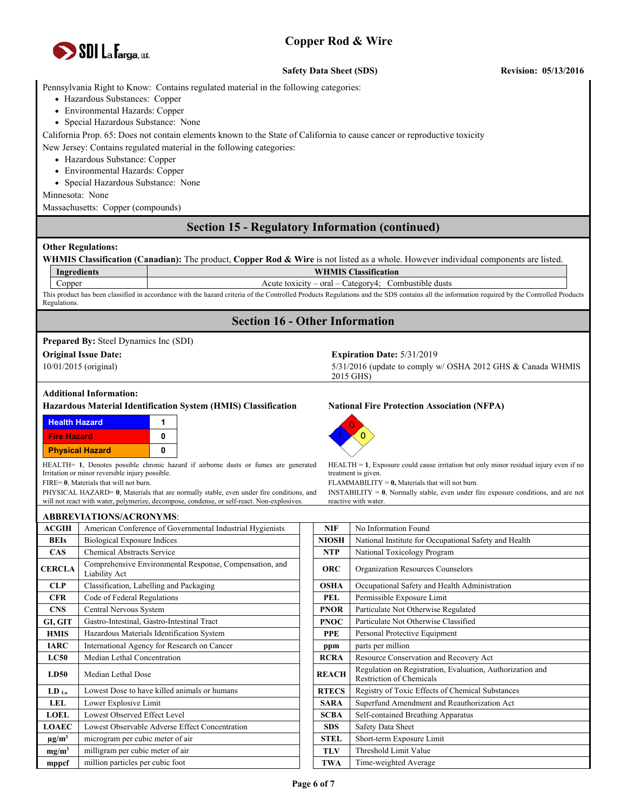

#### **Safety Data Sheet (SDS)** Revision: 05/13/2016

Pennsylvania Right to Know: Contains regulated material in the following categories:

- Hazardous Substances: Copper
- Environmental Hazards: Copper
- Special Hazardous Substance: None

California Prop. 65: Does not contain elements known to the State of California to cause cancer or reproductive toxicity

New Jersey: Contains regulated material in the following categories:

- Hazardous Substance: Copper
- Environmental Hazards: Copper
- Special Hazardous Substance: None

Minnesota: None

Massachusetts: Copper (compounds)

### **Section 15 - Regulatory Information (continued)**

#### **Other Regulations:**

|                                                                                                                                                                                 |                                                                                                                                                                                       |                                       | WHMIS Classification (Canadian): The product, Copper Rod & Wire is not listed as a whole. However individual components are listed.                                                         |  |  |  |  |
|---------------------------------------------------------------------------------------------------------------------------------------------------------------------------------|---------------------------------------------------------------------------------------------------------------------------------------------------------------------------------------|---------------------------------------|---------------------------------------------------------------------------------------------------------------------------------------------------------------------------------------------|--|--|--|--|
|                                                                                                                                                                                 | <b>WHMIS Classification</b><br>Ingredients                                                                                                                                            |                                       |                                                                                                                                                                                             |  |  |  |  |
| Copper                                                                                                                                                                          | Acute toxicity - oral - Category4; Combustible dusts                                                                                                                                  |                                       |                                                                                                                                                                                             |  |  |  |  |
| Regulations.                                                                                                                                                                    |                                                                                                                                                                                       |                                       | This product has been classified in accordance with the hazard criteria of the Controlled Products Regulations and the SDS contains all the information required by the Controlled Products |  |  |  |  |
|                                                                                                                                                                                 |                                                                                                                                                                                       | <b>Section 16 - Other Information</b> |                                                                                                                                                                                             |  |  |  |  |
|                                                                                                                                                                                 | <b>Prepared By:</b> Steel Dynamics Inc (SDI)                                                                                                                                          |                                       |                                                                                                                                                                                             |  |  |  |  |
|                                                                                                                                                                                 | <b>Original Issue Date:</b>                                                                                                                                                           |                                       | Expiration Date: $5/31/2019$                                                                                                                                                                |  |  |  |  |
|                                                                                                                                                                                 | 10/01/2015 (original)                                                                                                                                                                 |                                       | 5/31/2016 (update to comply w/ OSHA 2012 GHS & Canada WHMIS<br>2015 GHS)                                                                                                                    |  |  |  |  |
|                                                                                                                                                                                 | <b>Additional Information:</b>                                                                                                                                                        |                                       |                                                                                                                                                                                             |  |  |  |  |
|                                                                                                                                                                                 | Hazardous Material Identification System (HMIS) Classification                                                                                                                        |                                       | <b>National Fire Protection Association (NFPA)</b>                                                                                                                                          |  |  |  |  |
| <b>Health Hazard</b>                                                                                                                                                            | 1                                                                                                                                                                                     |                                       |                                                                                                                                                                                             |  |  |  |  |
| <b>Fire Hazard</b>                                                                                                                                                              | 0                                                                                                                                                                                     |                                       |                                                                                                                                                                                             |  |  |  |  |
|                                                                                                                                                                                 | 0<br><b>Physical Hazard</b>                                                                                                                                                           |                                       |                                                                                                                                                                                             |  |  |  |  |
| HEALTH= 1, Denotes possible chronic hazard if airborne dusts or fumes are generated<br>$HEALTH = 1$ , Exposure could cause irritation but only minor residual injury even if no |                                                                                                                                                                                       |                                       |                                                                                                                                                                                             |  |  |  |  |
|                                                                                                                                                                                 | Irritation or minor reversible injury possible.<br>treatment is given.                                                                                                                |                                       |                                                                                                                                                                                             |  |  |  |  |
|                                                                                                                                                                                 | FIRE= 0, Materials that will not burn.<br>FLAMMABILITY = $0$ , Materials that will not burn.                                                                                          |                                       |                                                                                                                                                                                             |  |  |  |  |
|                                                                                                                                                                                 | PHYSICAL HAZARD= 0, Materials that are normally stable, even under fire conditions, and<br>will not react with water, polymerize, decompose, condense, or self-react. Non-explosives. |                                       | INSTABILITY = $\mathbf{0}$ , Normally stable, even under fire exposure conditions, and are not<br>reactive with water.                                                                      |  |  |  |  |
|                                                                                                                                                                                 |                                                                                                                                                                                       |                                       |                                                                                                                                                                                             |  |  |  |  |
|                                                                                                                                                                                 | <b>ABBREVIATIONS/ACRONYMS:</b>                                                                                                                                                        |                                       |                                                                                                                                                                                             |  |  |  |  |
| <b>ACGIH</b><br><b>BEIs</b>                                                                                                                                                     | American Conference of Governmental Industrial Hygienists                                                                                                                             | <b>NIF</b><br><b>NIOSH</b>            | No Information Found<br>National Institute for Occupational Safety and Health                                                                                                               |  |  |  |  |
|                                                                                                                                                                                 | <b>Biological Exposure Indices</b><br>Chemical Abstracts Service                                                                                                                      |                                       |                                                                                                                                                                                             |  |  |  |  |
| <b>CAS</b>                                                                                                                                                                      |                                                                                                                                                                                       | <b>NTP</b>                            | National Toxicology Program                                                                                                                                                                 |  |  |  |  |
| <b>CERCLA</b>                                                                                                                                                                   | Comprehensive Environmental Response, Compensation, and<br>Liability Act                                                                                                              | <b>ORC</b>                            | Organization Resources Counselors                                                                                                                                                           |  |  |  |  |
| <b>CLP</b>                                                                                                                                                                      | Classification, Labelling and Packaging                                                                                                                                               | <b>OSHA</b>                           | Occupational Safety and Health Administration                                                                                                                                               |  |  |  |  |
| <b>CFR</b>                                                                                                                                                                      | Code of Federal Regulations                                                                                                                                                           | <b>PEL</b>                            | Permissible Exposure Limit                                                                                                                                                                  |  |  |  |  |
| <b>CNS</b>                                                                                                                                                                      | Central Nervous System                                                                                                                                                                | <b>PNOR</b>                           | Particulate Not Otherwise Regulated                                                                                                                                                         |  |  |  |  |
| GI, GIT                                                                                                                                                                         | Gastro-Intestinal, Gastro-Intestinal Tract                                                                                                                                            | <b>PNOC</b>                           | Particulate Not Otherwise Classified                                                                                                                                                        |  |  |  |  |
| <b>HMIS</b>                                                                                                                                                                     | Hazardous Materials Identification System                                                                                                                                             | <b>PPE</b>                            | Personal Protective Equipment                                                                                                                                                               |  |  |  |  |
| <b>IARC</b>                                                                                                                                                                     | International Agency for Research on Cancer                                                                                                                                           | ppm                                   | parts per million                                                                                                                                                                           |  |  |  |  |
| LC50                                                                                                                                                                            | Median Lethal Concentration                                                                                                                                                           | <b>RCRA</b>                           | Resource Conservation and Recovery Act                                                                                                                                                      |  |  |  |  |
| LD50                                                                                                                                                                            | Median Lethal Dose                                                                                                                                                                    | <b>REACH</b>                          | Regulation on Registration, Evaluation, Authorization and<br><b>Restriction of Chemicals</b>                                                                                                |  |  |  |  |
| LD <sub>Lo</sub>                                                                                                                                                                | Lowest Dose to have killed animals or humans                                                                                                                                          | <b>RTECS</b>                          | Registry of Toxic Effects of Chemical Substances                                                                                                                                            |  |  |  |  |
| <b>LEL</b>                                                                                                                                                                      | Lower Explosive Limit                                                                                                                                                                 | <b>SARA</b>                           | Superfund Amendment and Reauthorization Act                                                                                                                                                 |  |  |  |  |
| <b>LOEL</b>                                                                                                                                                                     | Lowest Observed Effect Level                                                                                                                                                          | <b>SCBA</b>                           | Self-contained Breathing Apparatus                                                                                                                                                          |  |  |  |  |
| <b>LOAEC</b>                                                                                                                                                                    | Lowest Observable Adverse Effect Concentration                                                                                                                                        | <b>SDS</b>                            | Safety Data Sheet                                                                                                                                                                           |  |  |  |  |
| $\mu$ g/m <sup>3</sup>                                                                                                                                                          | microgram per cubic meter of air                                                                                                                                                      | <b>STEL</b>                           | Short-term Exposure Limit                                                                                                                                                                   |  |  |  |  |
| mg/m <sup>3</sup>                                                                                                                                                               | milligram per cubic meter of air                                                                                                                                                      | <b>TLV</b>                            | Threshold Limit Value                                                                                                                                                                       |  |  |  |  |
| mppcf                                                                                                                                                                           | million particles per cubic foot                                                                                                                                                      | <b>TWA</b>                            | Time-weighted Average                                                                                                                                                                       |  |  |  |  |